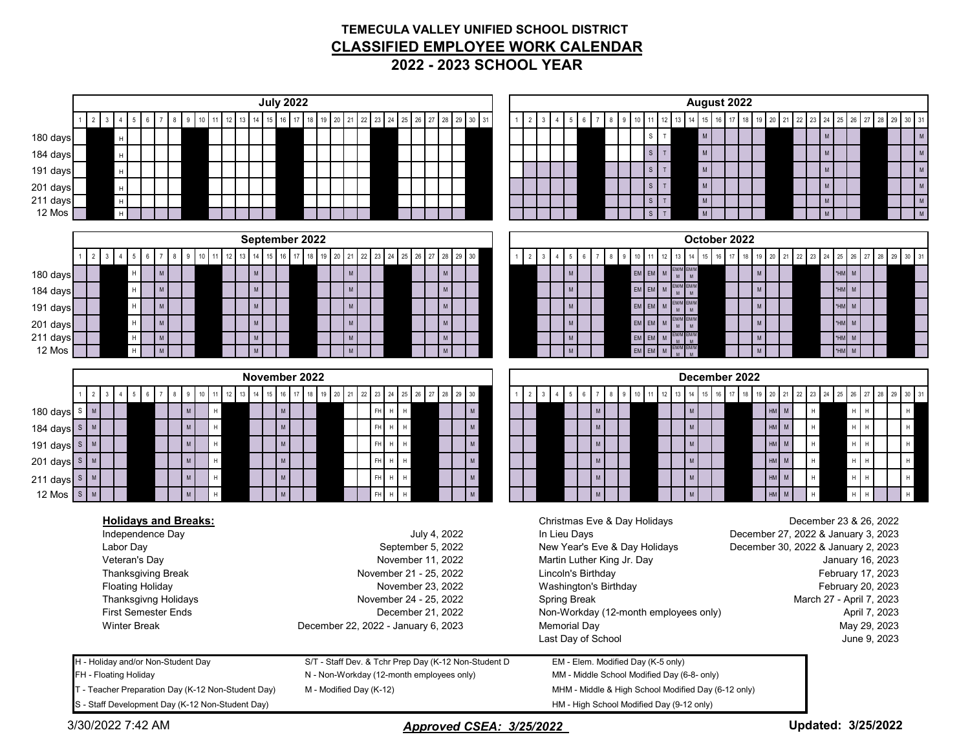## **TEMECULA VALLEY UNIFIED SCHOOL DISTRICT CLASSIFIED EMPLOYEE WORK CALENDAR 2022 - 2023 SCHOOL YEAR**

| <b>July 2022</b><br>August 2022<br>29 30 31<br>16<br>13<br>14<br>15 16<br>18<br>22 23 24<br>12<br>15 <sup>1</sup><br>17<br>22<br>$\overline{2}$<br>17<br>21<br>25<br>26<br>27<br>14<br>20<br>23 24<br>29<br>30 31<br>10<br>12<br>19<br>20<br>28<br>13<br>18<br>21<br>25<br>26<br>28<br>5<br>9<br>3<br>-5<br>27<br>M<br>$\mathsf{M}{}$<br>M<br>180 days<br>S<br>T.<br>$\mathsf{H}^+$<br>$\mathsf{M}$<br>M<br>$\mathbb T$<br>${\sf M}$<br>184 days<br>$\mathsf{H}^+$<br>S<br>$\mathsf{M}$<br>$\mathsf{T}$<br>${\sf M}$<br>${\sf M}$<br>S<br>191 days<br>$\mathsf{H}$<br>$\mathsf{M}$<br>$\mathsf T$<br>${\sf M}$<br>M<br>201 days<br>S<br>$\mathsf H$<br>$\,$ M $\,$<br>${\sf M}$<br>211 days<br>$\mathsf T$<br>$\,$ H $\,$<br>M<br>S<br>12 Mos<br>${\sf M}$<br>M<br>H<br>September 2022<br>October 2022<br>$\overline{1}$<br>18<br>14<br>17<br>19<br>21<br>22<br>23<br>25<br>26<br>27<br>29<br>$30\,$<br>16<br>25<br>26<br>29<br>30 31<br>$\overline{2}$<br>13<br>16<br>20<br>$\frac{2}{ }$<br>$\mathbf{3}$<br>18<br>22<br>28<br>10<br>24<br>28<br>12<br>13<br>14<br>17<br>20<br>21<br>23<br>24<br>-27<br>$\mathbf{3}$<br>5<br>EM/M<br>M<br>$*HM$ M<br>${\sf M}$<br>$\mathsf{M}\xspace$<br>$EM$ $EM$<br>${\sf M}$<br>${\sf M}$<br>M<br>H<br>M <sub>1</sub><br>M<br>180 days<br>EM/M<br>M<br>EM/M<br>M<br>EM<br>$\mathsf{M}$<br>*HM M<br>$\mathsf{M}\xspace$<br>$\mathsf H$<br>${\sf M}$<br>${\sf M}$<br>${\sf M}$<br>M<br>EM<br>184 days<br>M<br>EM/M<br>M<br>EM/M<br>M<br>$EM$ $EM$<br>*HM M<br>$\mathsf{M}$<br>$\mathsf H$<br>${\sf M}$<br>${\sf M}$<br>${\sf M}$<br>M<br>191 days<br>M<br>EM/M<br>M<br>$EM$ $EM$<br>EM/M<br>M<br>*HM M<br>$\mathsf H$<br>${\sf M}$<br>$\mathsf{M}% _{T}=\mathsf{M}_{T}\!\left( a,b\right) ,\ \mathsf{M}_{T}=\mathsf{M}_{T}\!\left( a,b\right) ,$<br>$\,$ M $\,$<br>${\sf M}$<br>${\sf M}$<br>M<br>M<br>201 days<br>$EM$ $EM$<br>211 days<br>*HM M<br>$\mathsf H$<br>${\sf M}$<br>M<br>M<br>M<br>${\sf M}$<br>$EM$ $EM$<br>*HM M<br>12 Mos<br>$\mathsf H$<br>M<br>M<br>M<br>November 2022<br>December 2022<br>$16\,$<br>18  19  20<br>17<br>13<br>14<br>16<br>17<br>25<br>$26\phantom{.}$<br>27<br>29<br>$30\,$<br>$2 \quad 3$<br>14<br>18<br>19 20<br>21<br>25<br>29<br>30 31<br>12<br>15<br>21<br>$22\,$<br>23<br>28<br>12<br>13<br>15<br>22<br>23<br>24<br>26<br>$\overline{2}$<br>9<br>10<br>24<br>$\overline{4}$<br>9<br>10<br>27<br>28<br>5<br>6<br>- 5<br>8<br>$\mathsf{M}$<br>${\sf M}$<br>$HM$ $M$<br>FH H H<br>${\sf M}$<br>H<br>180 days $s \upharpoonright M$<br>$\,$ M<br>${\sf M}$<br>$H$ $H$<br>H<br>H<br>$\mathsf{M}$<br>H<br>${\sf M}$<br>$\mathsf{M}$<br>${\sf HM}$<br>${\sf M}$<br>$\mathsf H$<br>$\sf H$<br>${\sf M}$<br>FH<br>${\sf M}$<br>184 days $s \mid M$<br>H<br>H<br>-H<br>$\mathsf{M}$<br>$HM$ $M$<br>${\sf M}$<br>$\mathsf{M}$<br>191 days S M<br>FH<br>$\mathsf H$<br>${\sf M}$<br>M<br>$\,$ H<br>H<br>H<br>$\mathsf{M}$<br>$\mathsf{M}$<br>$\mathsf{M}$<br>$HM$ $M$<br>201 days S M<br>${\sf M}$<br>$\mathsf H$<br>FH<br>M<br>$\mathsf H$<br>H<br>l H<br>H<br>$\mathsf{M}$<br>${\sf M}$<br>$\mathsf{H}$<br>$\mathsf{M}$<br>H<br>HM<br>${\sf M}$<br>$\boldsymbol{\mathsf{H}}$<br>${\sf M}$<br>FH<br>${\sf M}$<br>211 days $s$<br>$\mathsf H$<br>l H<br>M<br>H<br>12 Mos $\boxed{\ }$ S $\boxed{\ }$ M<br>${\sf M}$<br>HM<br>M<br>M<br>$\mathsf H$<br><b>FH</b><br>M<br><b>Holidays and Breaks:</b><br>December 23 & 26, 2022<br>Christmas Eve & Day Holidays<br>Independence Day<br>July 4, 2022<br>In Lieu Days<br>December 27, 2022 & January 3, 2023<br>Labor Day<br>September 5, 2022<br>New Year's Eve & Day Holidays<br>December 30, 2022 & January 2, 2023<br>Veteran's Day<br>November 11, 2022<br>Martin Luther King Jr. Day<br>January 16, 2023<br>Thanksgiving Break<br>November 21 - 25, 2022<br>Lincoln's Birthday<br>February 17, 2023<br>Washington's Birthday<br><b>Floating Holiday</b><br>February 20, 2023<br>November 23, 2022<br>Thanksgivng Holidays<br>November 24 - 25, 2022<br><b>Spring Break</b><br>March 27 - April 7, 2023<br><b>First Semester Ends</b><br>Non-Workday (12-month employees only)<br>December 21, 2022<br>April 7, 2023<br>December 22, 2022 - January 6, 2023<br><b>Winter Break</b><br><b>Memorial Day</b><br>May 29, 2023<br>Last Day of School<br>June 9, 2023<br>H - Holiday and/or Non-Student Day<br>S/T - Staff Dev. & Tchr Prep Day (K-12 Non-Student D<br>EM - Elem. Modified Day (K-5 only)<br>FH - Floating Holiday<br>N - Non-Workday (12-month employees only)<br>MM - Middle School Modified Day (6-8- only)<br>T - Teacher Preparation Day (K-12 Non-Student Day)<br>M - Modified Day (K-12)<br>MHM - Middle & High School Modified Day (6-12 only)<br>S - Staff Development Day (K-12 Non-Student Day)<br>HM - High School Modified Day (9-12 only)<br>Updated: 3/25/2022<br>3/30/2022 7:42 AM<br>Approved CSEA: 3/25/2022 |  |  |  |  |  |  |  |  |  |  |  |  |  |  |  |  |  |  |  |  |  |  |  |  |  |  |  |  |  |  |  |  |  |  |  |  |  |  |  |  |  |
|----------------------------------------------------------------------------------------------------------------------------------------------------------------------------------------------------------------------------------------------------------------------------------------------------------------------------------------------------------------------------------------------------------------------------------------------------------------------------------------------------------------------------------------------------------------------------------------------------------------------------------------------------------------------------------------------------------------------------------------------------------------------------------------------------------------------------------------------------------------------------------------------------------------------------------------------------------------------------------------------------------------------------------------------------------------------------------------------------------------------------------------------------------------------------------------------------------------------------------------------------------------------------------------------------------------------------------------------------------------------------------------------------------------------------------------------------------------------------------------------------------------------------------------------------------------------------------------------------------------------------------------------------------------------------------------------------------------------------------------------------------------------------------------------------------------------------------------------------------------------------------------------------------------------------------------------------------------------------------------------------------------------------------------------------------------------------------------------------------------------------------------------------------------------------------------------------------------------------------------------------------------------------------------------------------------------------------------------------------------------------------------------------------------------------------------------------------------------------------------------------------------------------------------------------------------------------------------------------------------------------------------------------------------------------------------------------------------------------------------------------------------------------------------------------------------------------------------------------------------------------------------------------------------------------------------------------------------------------------------------------------------------------------------------------------------------------------------------------------------------------------------------------------------------------------------------------------------------------------------------------------------------------------------------------------------------------------------------------------------------------------------------------------------------------------------------------------------------------------------------------------------------------------------------------------------------------------------------------------------------------------------------------------------------------------------------------------------------------------------------------------------------------------------------------------------------------------------------------------------------------------------------------------------------------------------------------------------------------------------------------------------------------------------------------------------------------------------------------------------------------------------------------------------------------------------------------------------------------------------------------------------------------------------------------------------------------------------------------------------------------------------------------------------------------------------------------------------------------------------------------------------------------------------------------------------------------------------------------------------------------------------------------------------------------------------------------------------------------------------------------------------------------------------------------------------------------------------------------------|--|--|--|--|--|--|--|--|--|--|--|--|--|--|--|--|--|--|--|--|--|--|--|--|--|--|--|--|--|--|--|--|--|--|--|--|--|--|--|--|--|
|                                                                                                                                                                                                                                                                                                                                                                                                                                                                                                                                                                                                                                                                                                                                                                                                                                                                                                                                                                                                                                                                                                                                                                                                                                                                                                                                                                                                                                                                                                                                                                                                                                                                                                                                                                                                                                                                                                                                                                                                                                                                                                                                                                                                                                                                                                                                                                                                                                                                                                                                                                                                                                                                                                                                                                                                                                                                                                                                                                                                                                                                                                                                                                                                                                                                                                                                                                                                                                                                                                                                                                                                                                                                                                                                                                                                                                                                                                                                                                                                                                                                                                                                                                                                                                                                                                                                                                                                                                                                                                                                                                                                                                                                                                                                                                                                                                                          |  |  |  |  |  |  |  |  |  |  |  |  |  |  |  |  |  |  |  |  |  |  |  |  |  |  |  |  |  |  |  |  |  |  |  |  |  |  |  |  |  |
|                                                                                                                                                                                                                                                                                                                                                                                                                                                                                                                                                                                                                                                                                                                                                                                                                                                                                                                                                                                                                                                                                                                                                                                                                                                                                                                                                                                                                                                                                                                                                                                                                                                                                                                                                                                                                                                                                                                                                                                                                                                                                                                                                                                                                                                                                                                                                                                                                                                                                                                                                                                                                                                                                                                                                                                                                                                                                                                                                                                                                                                                                                                                                                                                                                                                                                                                                                                                                                                                                                                                                                                                                                                                                                                                                                                                                                                                                                                                                                                                                                                                                                                                                                                                                                                                                                                                                                                                                                                                                                                                                                                                                                                                                                                                                                                                                                                          |  |  |  |  |  |  |  |  |  |  |  |  |  |  |  |  |  |  |  |  |  |  |  |  |  |  |  |  |  |  |  |  |  |  |  |  |  |  |  |  |  |
|                                                                                                                                                                                                                                                                                                                                                                                                                                                                                                                                                                                                                                                                                                                                                                                                                                                                                                                                                                                                                                                                                                                                                                                                                                                                                                                                                                                                                                                                                                                                                                                                                                                                                                                                                                                                                                                                                                                                                                                                                                                                                                                                                                                                                                                                                                                                                                                                                                                                                                                                                                                                                                                                                                                                                                                                                                                                                                                                                                                                                                                                                                                                                                                                                                                                                                                                                                                                                                                                                                                                                                                                                                                                                                                                                                                                                                                                                                                                                                                                                                                                                                                                                                                                                                                                                                                                                                                                                                                                                                                                                                                                                                                                                                                                                                                                                                                          |  |  |  |  |  |  |  |  |  |  |  |  |  |  |  |  |  |  |  |  |  |  |  |  |  |  |  |  |  |  |  |  |  |  |  |  |  |  |  |  |  |
|                                                                                                                                                                                                                                                                                                                                                                                                                                                                                                                                                                                                                                                                                                                                                                                                                                                                                                                                                                                                                                                                                                                                                                                                                                                                                                                                                                                                                                                                                                                                                                                                                                                                                                                                                                                                                                                                                                                                                                                                                                                                                                                                                                                                                                                                                                                                                                                                                                                                                                                                                                                                                                                                                                                                                                                                                                                                                                                                                                                                                                                                                                                                                                                                                                                                                                                                                                                                                                                                                                                                                                                                                                                                                                                                                                                                                                                                                                                                                                                                                                                                                                                                                                                                                                                                                                                                                                                                                                                                                                                                                                                                                                                                                                                                                                                                                                                          |  |  |  |  |  |  |  |  |  |  |  |  |  |  |  |  |  |  |  |  |  |  |  |  |  |  |  |  |  |  |  |  |  |  |  |  |  |  |  |  |  |
|                                                                                                                                                                                                                                                                                                                                                                                                                                                                                                                                                                                                                                                                                                                                                                                                                                                                                                                                                                                                                                                                                                                                                                                                                                                                                                                                                                                                                                                                                                                                                                                                                                                                                                                                                                                                                                                                                                                                                                                                                                                                                                                                                                                                                                                                                                                                                                                                                                                                                                                                                                                                                                                                                                                                                                                                                                                                                                                                                                                                                                                                                                                                                                                                                                                                                                                                                                                                                                                                                                                                                                                                                                                                                                                                                                                                                                                                                                                                                                                                                                                                                                                                                                                                                                                                                                                                                                                                                                                                                                                                                                                                                                                                                                                                                                                                                                                          |  |  |  |  |  |  |  |  |  |  |  |  |  |  |  |  |  |  |  |  |  |  |  |  |  |  |  |  |  |  |  |  |  |  |  |  |  |  |  |  |  |
|                                                                                                                                                                                                                                                                                                                                                                                                                                                                                                                                                                                                                                                                                                                                                                                                                                                                                                                                                                                                                                                                                                                                                                                                                                                                                                                                                                                                                                                                                                                                                                                                                                                                                                                                                                                                                                                                                                                                                                                                                                                                                                                                                                                                                                                                                                                                                                                                                                                                                                                                                                                                                                                                                                                                                                                                                                                                                                                                                                                                                                                                                                                                                                                                                                                                                                                                                                                                                                                                                                                                                                                                                                                                                                                                                                                                                                                                                                                                                                                                                                                                                                                                                                                                                                                                                                                                                                                                                                                                                                                                                                                                                                                                                                                                                                                                                                                          |  |  |  |  |  |  |  |  |  |  |  |  |  |  |  |  |  |  |  |  |  |  |  |  |  |  |  |  |  |  |  |  |  |  |  |  |  |  |  |  |  |
|                                                                                                                                                                                                                                                                                                                                                                                                                                                                                                                                                                                                                                                                                                                                                                                                                                                                                                                                                                                                                                                                                                                                                                                                                                                                                                                                                                                                                                                                                                                                                                                                                                                                                                                                                                                                                                                                                                                                                                                                                                                                                                                                                                                                                                                                                                                                                                                                                                                                                                                                                                                                                                                                                                                                                                                                                                                                                                                                                                                                                                                                                                                                                                                                                                                                                                                                                                                                                                                                                                                                                                                                                                                                                                                                                                                                                                                                                                                                                                                                                                                                                                                                                                                                                                                                                                                                                                                                                                                                                                                                                                                                                                                                                                                                                                                                                                                          |  |  |  |  |  |  |  |  |  |  |  |  |  |  |  |  |  |  |  |  |  |  |  |  |  |  |  |  |  |  |  |  |  |  |  |  |  |  |  |  |  |
|                                                                                                                                                                                                                                                                                                                                                                                                                                                                                                                                                                                                                                                                                                                                                                                                                                                                                                                                                                                                                                                                                                                                                                                                                                                                                                                                                                                                                                                                                                                                                                                                                                                                                                                                                                                                                                                                                                                                                                                                                                                                                                                                                                                                                                                                                                                                                                                                                                                                                                                                                                                                                                                                                                                                                                                                                                                                                                                                                                                                                                                                                                                                                                                                                                                                                                                                                                                                                                                                                                                                                                                                                                                                                                                                                                                                                                                                                                                                                                                                                                                                                                                                                                                                                                                                                                                                                                                                                                                                                                                                                                                                                                                                                                                                                                                                                                                          |  |  |  |  |  |  |  |  |  |  |  |  |  |  |  |  |  |  |  |  |  |  |  |  |  |  |  |  |  |  |  |  |  |  |  |  |  |  |  |  |  |
|                                                                                                                                                                                                                                                                                                                                                                                                                                                                                                                                                                                                                                                                                                                                                                                                                                                                                                                                                                                                                                                                                                                                                                                                                                                                                                                                                                                                                                                                                                                                                                                                                                                                                                                                                                                                                                                                                                                                                                                                                                                                                                                                                                                                                                                                                                                                                                                                                                                                                                                                                                                                                                                                                                                                                                                                                                                                                                                                                                                                                                                                                                                                                                                                                                                                                                                                                                                                                                                                                                                                                                                                                                                                                                                                                                                                                                                                                                                                                                                                                                                                                                                                                                                                                                                                                                                                                                                                                                                                                                                                                                                                                                                                                                                                                                                                                                                          |  |  |  |  |  |  |  |  |  |  |  |  |  |  |  |  |  |  |  |  |  |  |  |  |  |  |  |  |  |  |  |  |  |  |  |  |  |  |  |  |  |
|                                                                                                                                                                                                                                                                                                                                                                                                                                                                                                                                                                                                                                                                                                                                                                                                                                                                                                                                                                                                                                                                                                                                                                                                                                                                                                                                                                                                                                                                                                                                                                                                                                                                                                                                                                                                                                                                                                                                                                                                                                                                                                                                                                                                                                                                                                                                                                                                                                                                                                                                                                                                                                                                                                                                                                                                                                                                                                                                                                                                                                                                                                                                                                                                                                                                                                                                                                                                                                                                                                                                                                                                                                                                                                                                                                                                                                                                                                                                                                                                                                                                                                                                                                                                                                                                                                                                                                                                                                                                                                                                                                                                                                                                                                                                                                                                                                                          |  |  |  |  |  |  |  |  |  |  |  |  |  |  |  |  |  |  |  |  |  |  |  |  |  |  |  |  |  |  |  |  |  |  |  |  |  |  |  |  |  |
|                                                                                                                                                                                                                                                                                                                                                                                                                                                                                                                                                                                                                                                                                                                                                                                                                                                                                                                                                                                                                                                                                                                                                                                                                                                                                                                                                                                                                                                                                                                                                                                                                                                                                                                                                                                                                                                                                                                                                                                                                                                                                                                                                                                                                                                                                                                                                                                                                                                                                                                                                                                                                                                                                                                                                                                                                                                                                                                                                                                                                                                                                                                                                                                                                                                                                                                                                                                                                                                                                                                                                                                                                                                                                                                                                                                                                                                                                                                                                                                                                                                                                                                                                                                                                                                                                                                                                                                                                                                                                                                                                                                                                                                                                                                                                                                                                                                          |  |  |  |  |  |  |  |  |  |  |  |  |  |  |  |  |  |  |  |  |  |  |  |  |  |  |  |  |  |  |  |  |  |  |  |  |  |  |  |  |  |
|                                                                                                                                                                                                                                                                                                                                                                                                                                                                                                                                                                                                                                                                                                                                                                                                                                                                                                                                                                                                                                                                                                                                                                                                                                                                                                                                                                                                                                                                                                                                                                                                                                                                                                                                                                                                                                                                                                                                                                                                                                                                                                                                                                                                                                                                                                                                                                                                                                                                                                                                                                                                                                                                                                                                                                                                                                                                                                                                                                                                                                                                                                                                                                                                                                                                                                                                                                                                                                                                                                                                                                                                                                                                                                                                                                                                                                                                                                                                                                                                                                                                                                                                                                                                                                                                                                                                                                                                                                                                                                                                                                                                                                                                                                                                                                                                                                                          |  |  |  |  |  |  |  |  |  |  |  |  |  |  |  |  |  |  |  |  |  |  |  |  |  |  |  |  |  |  |  |  |  |  |  |  |  |  |  |  |  |
|                                                                                                                                                                                                                                                                                                                                                                                                                                                                                                                                                                                                                                                                                                                                                                                                                                                                                                                                                                                                                                                                                                                                                                                                                                                                                                                                                                                                                                                                                                                                                                                                                                                                                                                                                                                                                                                                                                                                                                                                                                                                                                                                                                                                                                                                                                                                                                                                                                                                                                                                                                                                                                                                                                                                                                                                                                                                                                                                                                                                                                                                                                                                                                                                                                                                                                                                                                                                                                                                                                                                                                                                                                                                                                                                                                                                                                                                                                                                                                                                                                                                                                                                                                                                                                                                                                                                                                                                                                                                                                                                                                                                                                                                                                                                                                                                                                                          |  |  |  |  |  |  |  |  |  |  |  |  |  |  |  |  |  |  |  |  |  |  |  |  |  |  |  |  |  |  |  |  |  |  |  |  |  |  |  |  |  |
|                                                                                                                                                                                                                                                                                                                                                                                                                                                                                                                                                                                                                                                                                                                                                                                                                                                                                                                                                                                                                                                                                                                                                                                                                                                                                                                                                                                                                                                                                                                                                                                                                                                                                                                                                                                                                                                                                                                                                                                                                                                                                                                                                                                                                                                                                                                                                                                                                                                                                                                                                                                                                                                                                                                                                                                                                                                                                                                                                                                                                                                                                                                                                                                                                                                                                                                                                                                                                                                                                                                                                                                                                                                                                                                                                                                                                                                                                                                                                                                                                                                                                                                                                                                                                                                                                                                                                                                                                                                                                                                                                                                                                                                                                                                                                                                                                                                          |  |  |  |  |  |  |  |  |  |  |  |  |  |  |  |  |  |  |  |  |  |  |  |  |  |  |  |  |  |  |  |  |  |  |  |  |  |  |  |  |  |
|                                                                                                                                                                                                                                                                                                                                                                                                                                                                                                                                                                                                                                                                                                                                                                                                                                                                                                                                                                                                                                                                                                                                                                                                                                                                                                                                                                                                                                                                                                                                                                                                                                                                                                                                                                                                                                                                                                                                                                                                                                                                                                                                                                                                                                                                                                                                                                                                                                                                                                                                                                                                                                                                                                                                                                                                                                                                                                                                                                                                                                                                                                                                                                                                                                                                                                                                                                                                                                                                                                                                                                                                                                                                                                                                                                                                                                                                                                                                                                                                                                                                                                                                                                                                                                                                                                                                                                                                                                                                                                                                                                                                                                                                                                                                                                                                                                                          |  |  |  |  |  |  |  |  |  |  |  |  |  |  |  |  |  |  |  |  |  |  |  |  |  |  |  |  |  |  |  |  |  |  |  |  |  |  |  |  |  |
|                                                                                                                                                                                                                                                                                                                                                                                                                                                                                                                                                                                                                                                                                                                                                                                                                                                                                                                                                                                                                                                                                                                                                                                                                                                                                                                                                                                                                                                                                                                                                                                                                                                                                                                                                                                                                                                                                                                                                                                                                                                                                                                                                                                                                                                                                                                                                                                                                                                                                                                                                                                                                                                                                                                                                                                                                                                                                                                                                                                                                                                                                                                                                                                                                                                                                                                                                                                                                                                                                                                                                                                                                                                                                                                                                                                                                                                                                                                                                                                                                                                                                                                                                                                                                                                                                                                                                                                                                                                                                                                                                                                                                                                                                                                                                                                                                                                          |  |  |  |  |  |  |  |  |  |  |  |  |  |  |  |  |  |  |  |  |  |  |  |  |  |  |  |  |  |  |  |  |  |  |  |  |  |  |  |  |  |
|                                                                                                                                                                                                                                                                                                                                                                                                                                                                                                                                                                                                                                                                                                                                                                                                                                                                                                                                                                                                                                                                                                                                                                                                                                                                                                                                                                                                                                                                                                                                                                                                                                                                                                                                                                                                                                                                                                                                                                                                                                                                                                                                                                                                                                                                                                                                                                                                                                                                                                                                                                                                                                                                                                                                                                                                                                                                                                                                                                                                                                                                                                                                                                                                                                                                                                                                                                                                                                                                                                                                                                                                                                                                                                                                                                                                                                                                                                                                                                                                                                                                                                                                                                                                                                                                                                                                                                                                                                                                                                                                                                                                                                                                                                                                                                                                                                                          |  |  |  |  |  |  |  |  |  |  |  |  |  |  |  |  |  |  |  |  |  |  |  |  |  |  |  |  |  |  |  |  |  |  |  |  |  |  |  |  |  |
|                                                                                                                                                                                                                                                                                                                                                                                                                                                                                                                                                                                                                                                                                                                                                                                                                                                                                                                                                                                                                                                                                                                                                                                                                                                                                                                                                                                                                                                                                                                                                                                                                                                                                                                                                                                                                                                                                                                                                                                                                                                                                                                                                                                                                                                                                                                                                                                                                                                                                                                                                                                                                                                                                                                                                                                                                                                                                                                                                                                                                                                                                                                                                                                                                                                                                                                                                                                                                                                                                                                                                                                                                                                                                                                                                                                                                                                                                                                                                                                                                                                                                                                                                                                                                                                                                                                                                                                                                                                                                                                                                                                                                                                                                                                                                                                                                                                          |  |  |  |  |  |  |  |  |  |  |  |  |  |  |  |  |  |  |  |  |  |  |  |  |  |  |  |  |  |  |  |  |  |  |  |  |  |  |  |  |  |
|                                                                                                                                                                                                                                                                                                                                                                                                                                                                                                                                                                                                                                                                                                                                                                                                                                                                                                                                                                                                                                                                                                                                                                                                                                                                                                                                                                                                                                                                                                                                                                                                                                                                                                                                                                                                                                                                                                                                                                                                                                                                                                                                                                                                                                                                                                                                                                                                                                                                                                                                                                                                                                                                                                                                                                                                                                                                                                                                                                                                                                                                                                                                                                                                                                                                                                                                                                                                                                                                                                                                                                                                                                                                                                                                                                                                                                                                                                                                                                                                                                                                                                                                                                                                                                                                                                                                                                                                                                                                                                                                                                                                                                                                                                                                                                                                                                                          |  |  |  |  |  |  |  |  |  |  |  |  |  |  |  |  |  |  |  |  |  |  |  |  |  |  |  |  |  |  |  |  |  |  |  |  |  |  |  |  |  |
|                                                                                                                                                                                                                                                                                                                                                                                                                                                                                                                                                                                                                                                                                                                                                                                                                                                                                                                                                                                                                                                                                                                                                                                                                                                                                                                                                                                                                                                                                                                                                                                                                                                                                                                                                                                                                                                                                                                                                                                                                                                                                                                                                                                                                                                                                                                                                                                                                                                                                                                                                                                                                                                                                                                                                                                                                                                                                                                                                                                                                                                                                                                                                                                                                                                                                                                                                                                                                                                                                                                                                                                                                                                                                                                                                                                                                                                                                                                                                                                                                                                                                                                                                                                                                                                                                                                                                                                                                                                                                                                                                                                                                                                                                                                                                                                                                                                          |  |  |  |  |  |  |  |  |  |  |  |  |  |  |  |  |  |  |  |  |  |  |  |  |  |  |  |  |  |  |  |  |  |  |  |  |  |  |  |  |  |
|                                                                                                                                                                                                                                                                                                                                                                                                                                                                                                                                                                                                                                                                                                                                                                                                                                                                                                                                                                                                                                                                                                                                                                                                                                                                                                                                                                                                                                                                                                                                                                                                                                                                                                                                                                                                                                                                                                                                                                                                                                                                                                                                                                                                                                                                                                                                                                                                                                                                                                                                                                                                                                                                                                                                                                                                                                                                                                                                                                                                                                                                                                                                                                                                                                                                                                                                                                                                                                                                                                                                                                                                                                                                                                                                                                                                                                                                                                                                                                                                                                                                                                                                                                                                                                                                                                                                                                                                                                                                                                                                                                                                                                                                                                                                                                                                                                                          |  |  |  |  |  |  |  |  |  |  |  |  |  |  |  |  |  |  |  |  |  |  |  |  |  |  |  |  |  |  |  |  |  |  |  |  |  |  |  |  |  |
|                                                                                                                                                                                                                                                                                                                                                                                                                                                                                                                                                                                                                                                                                                                                                                                                                                                                                                                                                                                                                                                                                                                                                                                                                                                                                                                                                                                                                                                                                                                                                                                                                                                                                                                                                                                                                                                                                                                                                                                                                                                                                                                                                                                                                                                                                                                                                                                                                                                                                                                                                                                                                                                                                                                                                                                                                                                                                                                                                                                                                                                                                                                                                                                                                                                                                                                                                                                                                                                                                                                                                                                                                                                                                                                                                                                                                                                                                                                                                                                                                                                                                                                                                                                                                                                                                                                                                                                                                                                                                                                                                                                                                                                                                                                                                                                                                                                          |  |  |  |  |  |  |  |  |  |  |  |  |  |  |  |  |  |  |  |  |  |  |  |  |  |  |  |  |  |  |  |  |  |  |  |  |  |  |  |  |  |
|                                                                                                                                                                                                                                                                                                                                                                                                                                                                                                                                                                                                                                                                                                                                                                                                                                                                                                                                                                                                                                                                                                                                                                                                                                                                                                                                                                                                                                                                                                                                                                                                                                                                                                                                                                                                                                                                                                                                                                                                                                                                                                                                                                                                                                                                                                                                                                                                                                                                                                                                                                                                                                                                                                                                                                                                                                                                                                                                                                                                                                                                                                                                                                                                                                                                                                                                                                                                                                                                                                                                                                                                                                                                                                                                                                                                                                                                                                                                                                                                                                                                                                                                                                                                                                                                                                                                                                                                                                                                                                                                                                                                                                                                                                                                                                                                                                                          |  |  |  |  |  |  |  |  |  |  |  |  |  |  |  |  |  |  |  |  |  |  |  |  |  |  |  |  |  |  |  |  |  |  |  |  |  |  |  |  |  |
|                                                                                                                                                                                                                                                                                                                                                                                                                                                                                                                                                                                                                                                                                                                                                                                                                                                                                                                                                                                                                                                                                                                                                                                                                                                                                                                                                                                                                                                                                                                                                                                                                                                                                                                                                                                                                                                                                                                                                                                                                                                                                                                                                                                                                                                                                                                                                                                                                                                                                                                                                                                                                                                                                                                                                                                                                                                                                                                                                                                                                                                                                                                                                                                                                                                                                                                                                                                                                                                                                                                                                                                                                                                                                                                                                                                                                                                                                                                                                                                                                                                                                                                                                                                                                                                                                                                                                                                                                                                                                                                                                                                                                                                                                                                                                                                                                                                          |  |  |  |  |  |  |  |  |  |  |  |  |  |  |  |  |  |  |  |  |  |  |  |  |  |  |  |  |  |  |  |  |  |  |  |  |  |  |  |  |  |
|                                                                                                                                                                                                                                                                                                                                                                                                                                                                                                                                                                                                                                                                                                                                                                                                                                                                                                                                                                                                                                                                                                                                                                                                                                                                                                                                                                                                                                                                                                                                                                                                                                                                                                                                                                                                                                                                                                                                                                                                                                                                                                                                                                                                                                                                                                                                                                                                                                                                                                                                                                                                                                                                                                                                                                                                                                                                                                                                                                                                                                                                                                                                                                                                                                                                                                                                                                                                                                                                                                                                                                                                                                                                                                                                                                                                                                                                                                                                                                                                                                                                                                                                                                                                                                                                                                                                                                                                                                                                                                                                                                                                                                                                                                                                                                                                                                                          |  |  |  |  |  |  |  |  |  |  |  |  |  |  |  |  |  |  |  |  |  |  |  |  |  |  |  |  |  |  |  |  |  |  |  |  |  |  |  |  |  |
|                                                                                                                                                                                                                                                                                                                                                                                                                                                                                                                                                                                                                                                                                                                                                                                                                                                                                                                                                                                                                                                                                                                                                                                                                                                                                                                                                                                                                                                                                                                                                                                                                                                                                                                                                                                                                                                                                                                                                                                                                                                                                                                                                                                                                                                                                                                                                                                                                                                                                                                                                                                                                                                                                                                                                                                                                                                                                                                                                                                                                                                                                                                                                                                                                                                                                                                                                                                                                                                                                                                                                                                                                                                                                                                                                                                                                                                                                                                                                                                                                                                                                                                                                                                                                                                                                                                                                                                                                                                                                                                                                                                                                                                                                                                                                                                                                                                          |  |  |  |  |  |  |  |  |  |  |  |  |  |  |  |  |  |  |  |  |  |  |  |  |  |  |  |  |  |  |  |  |  |  |  |  |  |  |  |  |  |
|                                                                                                                                                                                                                                                                                                                                                                                                                                                                                                                                                                                                                                                                                                                                                                                                                                                                                                                                                                                                                                                                                                                                                                                                                                                                                                                                                                                                                                                                                                                                                                                                                                                                                                                                                                                                                                                                                                                                                                                                                                                                                                                                                                                                                                                                                                                                                                                                                                                                                                                                                                                                                                                                                                                                                                                                                                                                                                                                                                                                                                                                                                                                                                                                                                                                                                                                                                                                                                                                                                                                                                                                                                                                                                                                                                                                                                                                                                                                                                                                                                                                                                                                                                                                                                                                                                                                                                                                                                                                                                                                                                                                                                                                                                                                                                                                                                                          |  |  |  |  |  |  |  |  |  |  |  |  |  |  |  |  |  |  |  |  |  |  |  |  |  |  |  |  |  |  |  |  |  |  |  |  |  |  |  |  |  |